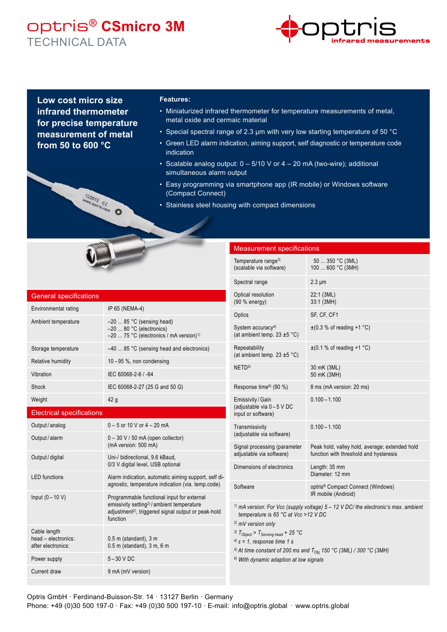## optris® **CSmicro 3M** TECHNICAL DATA



**Low cost micro size infrared thermometer for precise temperature measurement of metal from 50 to 600 °C**

MARQ12 CE MARINA

## **Features:**

- Miniaturized infrared thermometer for temperature measurements of metal, metal oxide and cermaic material
- Special spectral range of 2.3 µm with very low starting temperature of 50 °C
- Green LED alarm indication, aiming support, self diagnostic or temperature code indication
- Scalable analog output: 0 5/10 V or 4 20 mA (two-wire); additional simultaneous alarm output
- Easy programming via smartphone app (IR mobile) or Windows software (Compact Connect)
- Stainless steel housing with compact dimensions

| <b>General specifications</b>                             |                                                                                                                                                                                    |
|-----------------------------------------------------------|------------------------------------------------------------------------------------------------------------------------------------------------------------------------------------|
| Environmental rating                                      | IP 65 (NEMA-4)                                                                                                                                                                     |
| Ambient temperature                                       | -20  85 °C (sensing head)<br>$-20$ 80 °C (electronics)<br>-20  75 °C (electronics / mA version) <sup>1)</sup>                                                                      |
| Storage temperature                                       | $-40$ 85 °C (sensing head and electronics)                                                                                                                                         |
| Relative humidity                                         | $10-95$ %, non condensing                                                                                                                                                          |
| Vibration                                                 | IEC 60068-2-6 / -64                                                                                                                                                                |
| Shock                                                     | IEC 60068-2-27 (25 G and 50 G)                                                                                                                                                     |
| Weight                                                    | 42 g                                                                                                                                                                               |
| <b>Electrical specifications</b>                          |                                                                                                                                                                                    |
| Output / analog                                           | $0 - 5$ or 10 V or $4 - 20$ mA                                                                                                                                                     |
| Output / alarm                                            | $0 - 30$ V / 50 mA (open collector)<br>(mA version: 500 mA)                                                                                                                        |
| Output / digital                                          | Uni-/ bidirectional, 9.6 kBaud,<br>0/3 V digital level, USB optional                                                                                                               |
| <b>LED</b> functions                                      | Alarm indication, automatic aiming support, self di-<br>agnostic, temperature indication (via. temp.code)                                                                          |
| Input $(0 - 10 V)$                                        | Programmable functional input for external<br>emissivity setting <sup>2)</sup> /ambient temperature<br>adjustment <sup>2)</sup> , triggered signal output or peak-hold<br>function |
| Cable length<br>head - electronics:<br>after electronics: | $0.5$ m (standard), $3$ m<br>0.5 m (standard), 3 m, 6 m                                                                                                                            |
| Power supply                                              | $5-30$ V DC                                                                                                                                                                        |

Current draw 9 mA (mV version)

| <b>Measurement specifications</b>                                                                                                                                                                                                    |                                                                                          |
|--------------------------------------------------------------------------------------------------------------------------------------------------------------------------------------------------------------------------------------|------------------------------------------------------------------------------------------|
| Temperature range <sup>3)</sup><br>(scalable via software)                                                                                                                                                                           | 50  350 °C (3ML)<br>100  600 °C (3MH)                                                    |
| Spectral range                                                                                                                                                                                                                       | $2.3 \mu m$                                                                              |
| Optical resolution<br>(90 % energy)                                                                                                                                                                                                  | 22:1 (3ML)<br>33:1 (3MH)                                                                 |
| Optics                                                                                                                                                                                                                               | SF, CF, CF1                                                                              |
| System accuracy <sup>4)</sup><br>(at ambient temp. $23 \pm 5$ °C)                                                                                                                                                                    | $\pm$ (0.3 % of reading +1 °C)                                                           |
| Repeatability<br>(at ambient temp. $23 \pm 5$ °C)                                                                                                                                                                                    | $\pm$ (0.1 % of reading +1 °C)                                                           |
| NETD <sup>5)</sup>                                                                                                                                                                                                                   | 30 mK (3ML)<br>50 mK (3MH)                                                               |
| Response time <sup>6)</sup> (90 %)                                                                                                                                                                                                   | 8 ms (mA version: 20 ms)                                                                 |
| Emissivity / Gain<br>(adjustable via 0-5 V DC<br>input or software)                                                                                                                                                                  | $0.100 - 1.100$                                                                          |
| Transmissivity<br>(adjustable via software)                                                                                                                                                                                          | $0.100 - 1.100$                                                                          |
| Signal processing (parameter<br>adjustable via software)                                                                                                                                                                             | Peak hold, valley hold, average; extended hold<br>function with threshold and hysteresis |
| Dimensions of electronics                                                                                                                                                                                                            | Length: 35 mm<br>Diameter: 12 mm                                                         |
| Software                                                                                                                                                                                                                             | optris <sup>®</sup> Compact Connect (Windows)<br>IR mobile (Android)                     |
| <sup>1)</sup> mA version: For Vcc (supply voltage) $5 - 12$ V DC/ the electronic's max. ambient<br>temperature is 65 °C at Vcc >12 V DC<br><sup>2)</sup> mV version only<br><sup>3)</sup> $T_{Object}$ > $T_{Sensing\ head}$ + 25 °C |                                                                                          |

*4) ε = 1, response time 1 s*

<sup>5)</sup> At time constant of 200 ms and T<sub>Obj</sub> 150 °C (3ML) / 300 °C (3MH)

*6) With dynamic adaption at low signals*